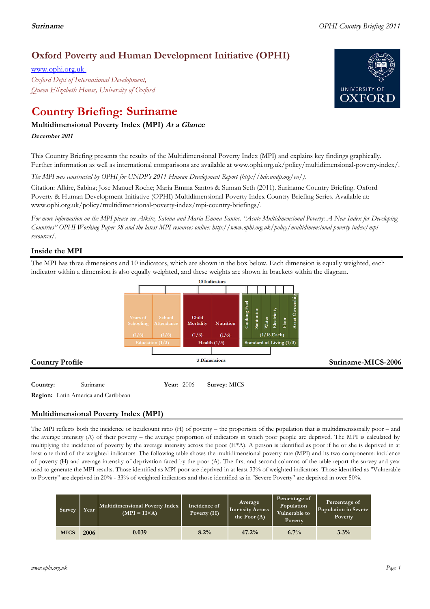# **Oxford Poverty and Human Development Initiative (OPHI)**

www.ophi.org.uk *Oxford Dept of International Development, Queen Elizabeth House, University of Oxford*

# **Country Briefing: Suriname**

# **Multidimensional Poverty Index (MPI) At <sup>a</sup> Glance**

**December <sup>2011</sup>**

This Country Briefing presents the results of the Multidimensional Poverty Index (MPI) and explains key findings graphically. Further information as well as international comparisons are available at www.ophi.org.uk/policy/multidimensional-poverty-index/.

*The MPI was constructed by OPHI for UNDP's 2011 Human Development Report (http://hdr.undp.org/en/).*

Citation: Alkire, Sabina; Jose Manuel Roche; Maria Emma Santos & Suman Seth (2011). Suriname Country Briefing. Oxford Poverty & Human Development Initiative (OPHI) Multidimensional Poverty Index Country Briefing Series. Available at: www.ophi.org.uk/policy/multidimensional-poverty-index/mpi-country-briefings/.

*For more information on the MPI please see Alkire, Sabina and Maria Emma Santos. "Acute Multidimensional Poverty: A New Index for Developing Countries" OPHI Working Paper 38 and the latest MPI resources online: http://www.ophi.org.uk/policy/multidimensional-poverty-index/mpiresources/.*

# **Inside the MPI**

The MPI has three dimensions and 10 indicators, which are shown in the box below. Each dimension is equally weighted, each indicator within a dimension is also equally weighted, and these weights are shown in brackets within the diagram.



**Country:** 3 Suriname 89 **Year:** 2006 **Survey:** MICS

**Region:** Latin America and Caribbean

# **Multidimensional Poverty Index (MPI)**

The MPI reflects both the incidence or headcount ratio (H) of poverty – the proportion of the population that is multidimensionally poor – and the average intensity (A) of their poverty – the average proportion of indicators in which poor people are deprived. The MPI is calculated by multiplying the incidence of poverty by the average intensity across the poor (H\*A). A person is identified as poor if he or she is deprived in at least one third of the weighted indicators. The following table shows the multidimensional poverty rate (MPI) and its two components: incidence of poverty (H) and average intensity of deprivation faced by the poor (A). The first and second columns of the table report the survey and year used to generate the MPI results. Those identified as MPI poor are deprived in at least 33% of weighted indicators. Those identified as "Vulnerable to Poverty" are deprived in 20% - 33% of weighted indicators and those identified as in "Severe Poverty" are deprived in over 50%.

| Survey      | Year | Multidimensional Poverty Index<br>$(MPI = H \times A)$ | Incidence of<br>Poverty (H) | Average<br><b>Intensity Across</b><br>the Poor $(A)$ | Percentage of<br>Population<br>Vulnerable to<br><b>Poverty</b> | Percentage of<br>Population in Severe<br>Poverty |
|-------------|------|--------------------------------------------------------|-----------------------------|------------------------------------------------------|----------------------------------------------------------------|--------------------------------------------------|
| <b>MICS</b> | 2006 | 0.039                                                  | 8.2%                        | 47.2%                                                | $6.7\%$                                                        | 3.3%                                             |

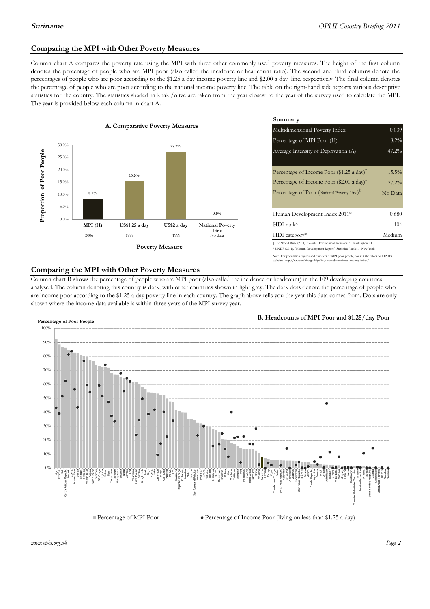### **Comparing the MPI with Other Poverty Measures**

Column chart A compares the poverty rate using the MPI with three other commonly used poverty measures. The height of the first column denotes the percentage of people who are MPI poor (also called the incidence or headcount ratio). The second and third columns denote the percentages of people who are poor according to the \$1.25 a day income poverty line and \$2.00 a day line, respectively. The final column denotes the percentage of people who are poor according to the national income poverty line. The table on the right-hand side reports various descriptive statistics for the country. The statistics shaded in khaki/olive are taken from the year closest to the year of the survey used to calculate the MPI. The year is provided below each column in chart A.



|                                        |                 | Summary                                                                                                                                                    |          |  |  |
|----------------------------------------|-----------------|------------------------------------------------------------------------------------------------------------------------------------------------------------|----------|--|--|
| erty Measures                          |                 | Multidimensional Poverty Index<br>0.039                                                                                                                    |          |  |  |
|                                        |                 | Percentage of MPI Poor (H)                                                                                                                                 | 8.2%     |  |  |
| 27.2%                                  |                 | Average Intensity of Deprivation (A)                                                                                                                       | 47.2%    |  |  |
|                                        |                 | Percentage of Income Poor (\$1.25 a day) <sup><math>\ddagger</math></sup>                                                                                  | $15.5\%$ |  |  |
|                                        |                 | Percentage of Income Poor (\$2.00 a day) <sup><math>\bar{x}</math></sup>                                                                                   | 27.2%    |  |  |
|                                        |                 | Percentage of Poor (National Poverty Line) <sup>#</sup>                                                                                                    | No Data  |  |  |
|                                        | $0.0\%$         | Human Development Index 2011*                                                                                                                              | 0.680    |  |  |
| US\$2 a day<br><b>National Poverty</b> |                 | $HDI$ rank*                                                                                                                                                | 104      |  |  |
| 1999                                   | Line<br>No data | $HDI category*$                                                                                                                                            | Medium   |  |  |
| <b>⁄Ieasure</b>                        |                 | $\pm$ The World Bank (2011). "World Development Indicators." Washington, DC.<br>* UNDP (2011). "Human Development Report", Statistical Table 1 . New York. |          |  |  |

te: For population figures and numbers of MPI poor people, consult the tables on OPHI's te: http://www.ophi.org.uk/policy/multidimensional-poverty-index/

#### **Comparing the MPI with Other Poverty Measures**

Column chart B shows the percentage of people who are MPI poor (also called the incidence or headcount) in the 109 developing countries analysed. The column denoting this country is dark, with other countries shown in light grey. The dark dots denote the percentage of people who are income poor according to the \$1.25 a day poverty line in each country. The graph above tells you the year this data comes from. Dots are only shown where the income data available is within three years of the MPI survey year.



**B. Headcounts of MPI Poor and \$1.25/day Poor**

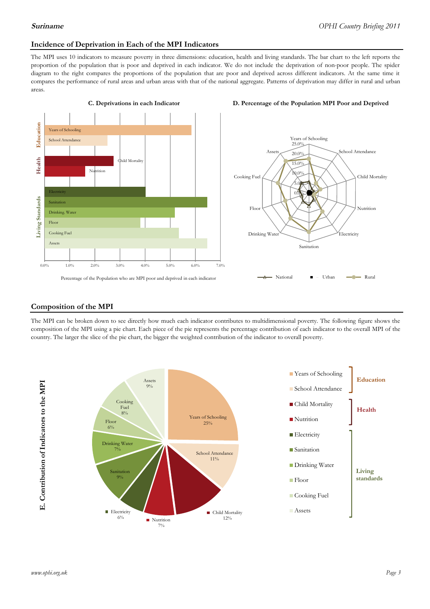# **Incidence of Deprivation in Each of the MPI Indicators**

The MPI uses 10 indicators to measure poverty in three dimensions: education, health and living standards. The bar chart to the left reports the proportion of the population that is poor and deprived in each indicator. We do not include the deprivation of non-poor people. The spider diagram to the right compares the proportions of the population that are poor and deprived across different indicators. At the same time it compares the performance of rural areas and urban areas with that of the national aggregate. Patterns of deprivation may differ in rural and urban areas.





#### **Composition of the MPI**

The MPI can be broken down to see directly how much each indicator contributes to multidimensional poverty. The following figure shows the composition of the MPI using a pie chart. Each piece of the pie represents the percentage contribution of each indicator to the overall MPI of the country. The larger the slice of the pie chart, the bigger the weighted contribution of the indicator to overall poverty.

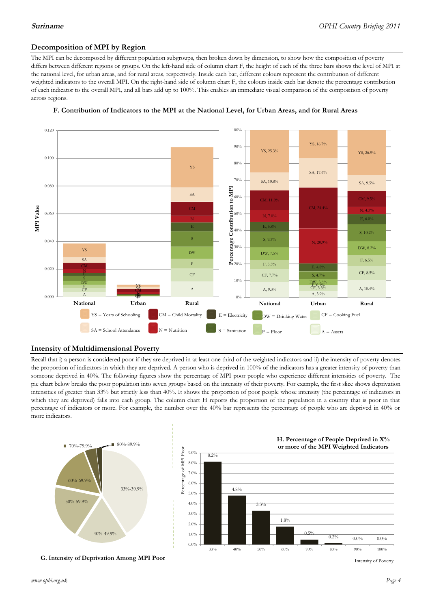## **Decomposition of MPI by Region**

The MPI can be decomposed by different population subgroups, then broken down by dimension, to show how the composition of poverty differs between different regions or groups. On the left-hand side of column chart F, the height of each of the three bars shows the level of MPI at the national level, for urban areas, and for rural areas, respectively. Inside each bar, different colours represent the contribution of different weighted indicators to the overall MPI. On the right-hand side of column chart F, the colours inside each bar denote the percentage contribution of each indicator to the overall MPI, and all bars add up to 100%. This enables an immediate visual comparison of the composition of poverty across regions.



#### **F. Contribution of Indicators to the MPI at the National Level, for Urban Areas, and for Rural Areas**

### **Intensity of Multidimensional Poverty**

Recall that i) a person is considered poor if they are deprived in at least one third of the weighted indicators and ii) the intensity of poverty denotes the proportion of indicators in which they are deprived. A person who is deprived in 100% of the indicators has a greater intensity of poverty than someone deprived in 40%. The following figures show the percentage of MPI poor people who experience different intensities of poverty. The pie chart below breaks the poor population into seven groups based on the intensity of their poverty. For example, the first slice shows deprivation intensities of greater than 33% but strictly less than 40%. It shows the proportion of poor people whose intensity (the percentage of indicators in which they are deprived) falls into each group. The column chart H reports the proportion of the population in a country that is poor in that percentage of indicators or more. For example, the number over the 40% bar represents the percentage of people who are deprived in 40% or more indicators.



**G. Intensity of Deprivation Among MPI Poor**

Intensity of Poverty